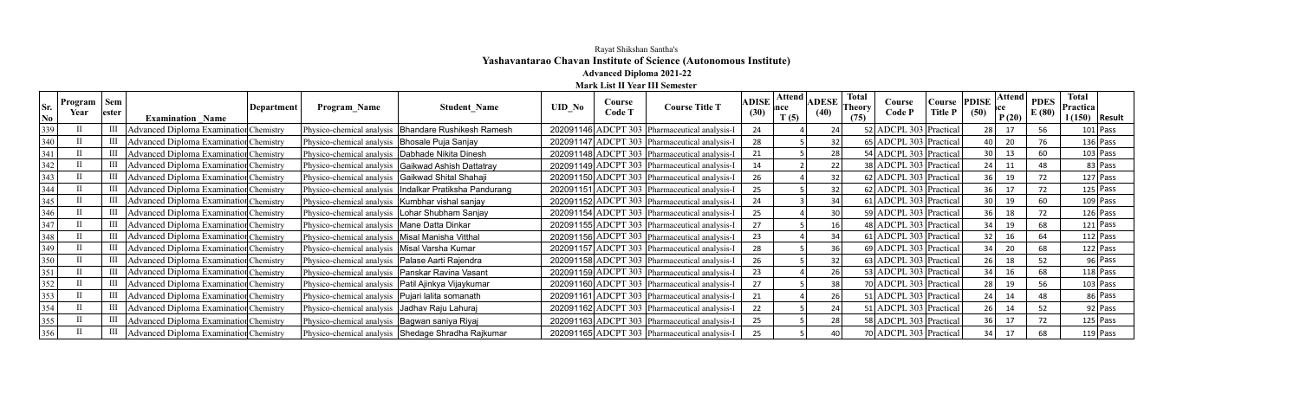## Rayat Shikshan Santha's **Yashavantarao Chavan Institute of Science (Autonomous Institute) Advanced Diploma 2021-22**

**Mark List II Year III Semester**

| Sr.<br>No | Program<br>Year | Sem<br>lester | <b>Examination Name</b>                       | Department | <b>Program Name</b>                                  | <b>Student Name</b>                                      | <b>UID No</b> | Course<br>Code T | <b>Course Title T</b>                           | <b>ADISE</b><br>(30) | Attend  <br>T(5) | <b>ADESE</b><br>(40) | <b>Total</b><br>l`heorv<br>(75) | Course<br>Code P       | Course<br><b>Title P</b> | PDIS <sub>I</sub><br>(50) | Attend<br>P(20) | <b>PDES</b><br>E(80) | <b>Total</b><br>Practica<br>1(150) | Result     |
|-----------|-----------------|---------------|-----------------------------------------------|------------|------------------------------------------------------|----------------------------------------------------------|---------------|------------------|-------------------------------------------------|----------------------|------------------|----------------------|---------------------------------|------------------------|--------------------------|---------------------------|-----------------|----------------------|------------------------------------|------------|
| 339       |                 |               | <b>Advanced Diploma Examination Chemistry</b> |            |                                                      | Physico-chemical analysis   Bhandare Rushikesh Ramesh    |               |                  | 202091146 ADCPT 303 Pharmaceutical analysis-I   | 24                   |                  | 24                   |                                 | 52 ADCPL 303 Practical |                          | 28 l                      | 17              | 56                   |                                    | $101$ Pass |
| 340       |                 |               | <b>Advanced Diploma Examination Chemistry</b> |            | Physico-chemical analysis   Bhosale Puja Sanjay      |                                                          |               |                  | 202091147 ADCPT 303   Pharmaceutical analysis-I | 28                   |                  | 32                   |                                 | 65 ADCPL 303 Practical |                          |                           | 20              | 76                   |                                    | $136$ Pass |
| 341       |                 |               | <b>Advanced Diploma Examination Chemistry</b> |            | Physico-chemical analysis   Dabhade Nikita Dinesh    |                                                          |               |                  | 202091148 ADCPT 303 Pharmaceutical analysis-I   | 21                   |                  | 28                   |                                 | 54 ADCPL 303 Practical |                          |                           | 13              | 60                   |                                    | $103$ Pass |
| 342       |                 |               | <b>Advanced Diploma Examination Chemistry</b> |            |                                                      | Physico-chemical analysis   Gaikwad Ashish Dattatray     |               |                  | 202091149 ADCPT 303 Pharmaceutical analysis-I   | 14                   |                  | 22                   |                                 | 38 ADCPL 303 Practical |                          |                           | 11              | 48                   |                                    | 83 Pass    |
| 343       |                 |               | <b>Advanced Diploma Examination Chemistry</b> |            | Physico-chemical analysis   Gaikwad Shital Shahaji   |                                                          |               |                  | 202091150 ADCPT 303 Pharmaceutical analysis-I   | 26                   |                  | 32                   |                                 | 62 ADCPL 303 Practical |                          | 36                        | 19              | 72                   |                                    | $127$ Pass |
| 344       |                 |               | <b>Advanced Diploma Examination Chemistry</b> |            |                                                      | Physico-chemical analysis   Indalkar Pratiksha Pandurang |               |                  | 202091151 ADCPT 303 Pharmaceutical analysis-I   | 25                   |                  | 32                   |                                 | 62 ADCPL 303 Practical |                          | 36                        | 17              | 72                   |                                    | $125$ Pass |
| 345       |                 |               | <b>Advanced Diploma Examination Chemistry</b> |            | Physico-chemical analysis   Kumbhar vishal sanjay    |                                                          |               |                  | 202091152 ADCPT 303 Pharmaceutical analysis-I   | 24                   |                  | 34                   |                                 | 61 ADCPL 303 Practical |                          | 30                        | 19              | 60                   |                                    | $109$ Pass |
| 346       |                 |               | <b>Advanced Diploma Examination Chemistry</b> |            | Physico-chemical analysis   Lohar Shubham Sanjay     |                                                          |               |                  | 202091154 ADCPT 303 Pharmaceutical analysis-I   | 25                   |                  | 30                   |                                 | 59 ADCPL 303 Practical |                          | 36                        | 18              | 72                   |                                    | $126$ Pass |
| 347       |                 |               | <b>Advanced Diploma Examination Chemistry</b> |            | Physico-chemical analysis   Mane Datta Dinkar        |                                                          |               |                  | 202091155 ADCPT 303   Pharmaceutical analysis-I | 27                   |                  | 16 <sub>1</sub>      |                                 | 48 ADCPL 303 Practical |                          | 34 l                      | 19              | 68                   |                                    | $121$ Pass |
| 348       |                 |               | <b>Advanced Diploma Examination Chemistry</b> |            | Physico-chemical analysis   Misal Manisha Vitthal    |                                                          |               |                  | 202091156 ADCPT 303 Pharmaceutical analysis-I   | 23                   |                  | 34                   |                                 | 61 ADCPL 303 Practical |                          | 32 l                      | 16              | 64                   |                                    | $112$ Pass |
| 349       |                 |               | <b>Advanced Diploma Examination Chemistry</b> |            | Physico-chemical analysis   Misal Varsha Kumar       |                                                          |               |                  | 202091157 ADCPT 303   Pharmaceutical analysis-I | 28                   |                  | 36                   |                                 | 69 ADCPL 303 Practical |                          |                           | 20              | 68                   |                                    | $122$ Pass |
| 350       |                 |               | Advanced Diploma Examination Chemistry        |            | Physico-chemical analysis   Palase Aarti Rajendra    |                                                          |               |                  | 202091158 ADCPT 303   Pharmaceutical analysis-I | 26                   |                  | 32                   |                                 | 63 ADCPL 303 Practical |                          | 26                        | 18              | 52                   |                                    | $96$ Pass  |
| 351       |                 |               | <b>Advanced Diploma Examination Chemistry</b> |            | Physico-chemical analysis   Panskar Ravina Vasant    |                                                          |               |                  | 202091159 ADCPT 303 Pharmaceutical analysis-I   | 23                   |                  | 26                   |                                 | 53 ADCPL 303 Practical |                          |                           | 16              | 68                   |                                    | $118$ Pass |
| 352       |                 |               | <b>Advanced Diploma Examination Chemistry</b> |            | Physico-chemical analysis   Patil Ajinkya Vijaykumar |                                                          |               |                  | 202091160 ADCPT 303 Pharmaceutical analysis-I   | 27                   |                  | 38                   |                                 | 70 ADCPL 303 Practical |                          | 28                        | 19              | 56                   |                                    | $103$ Pass |
| 353       |                 |               | <b>Advanced Diploma Examination Chemistry</b> |            | Physico-chemical analysis   Pujari lalita somanath   |                                                          |               |                  | 202091161 ADCPT 303   Pharmaceutical analysis-I | 21                   |                  | 26                   |                                 | 51 ADCPL 303 Practical |                          | 241                       | 14              | 48                   |                                    | 86 Pass    |
| 354       |                 |               | <b>Advanced Diploma Examination Chemistry</b> |            | Physico-chemical analysis Jadhav Raju Lahuraj        |                                                          |               |                  | 202091162 ADCPT 303 Pharmaceutical analysis-I   | 22                   |                  | 24                   |                                 | 51 ADCPL 303 Practical |                          | 26                        | 14              | 52                   |                                    | $92$ Pass  |
| 355       |                 |               | <b>Advanced Diploma Examination Chemistry</b> |            | Physico-chemical analysis   Bagwan saniya Riyaj      |                                                          |               |                  | 202091163 ADCPT 303 Pharmaceutical analysis-I   | 25                   |                  | 28                   |                                 | 58 ADCPL 303 Practical |                          | 36                        | 17              | 72                   |                                    | $125$ Pass |
| 356       |                 |               | Advanced Diploma Examination Chemistry        |            |                                                      | Physico-chemical analysis Shedage Shradha Rajkumar       |               |                  | 202091165 ADCPT 303 Pharmaceutical analysis-I   | 25                   |                  |                      |                                 | 70 ADCPL 303 Practical |                          |                           | 17              |                      |                                    | $119$ Pass |